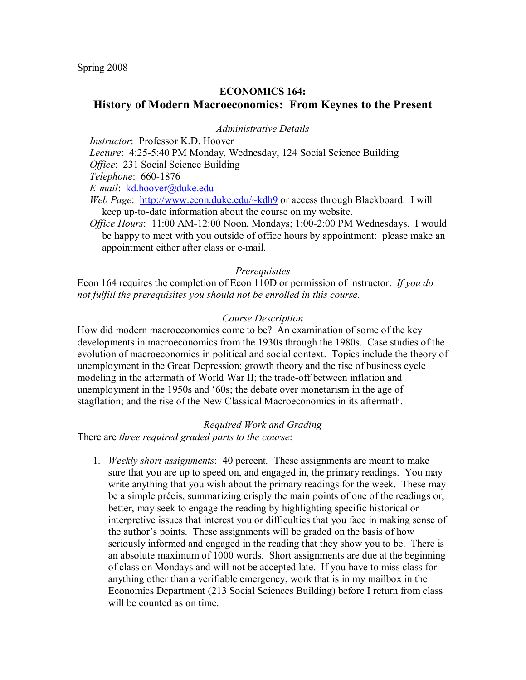Spring 2008

# **ECONOMICS 164:**

# **History of Modern Macroeconomics: From Keynes to the Present**

### *Administrative Details*

*Instructor*: Professor K.D. Hoover

*Lecture*: 4:25-5:40 PM Monday, Wednesday, 124 Social Science Building

*Office: 231 Social Science Building* 

*Telephone*: 660-1876

*Email*: kd.hoover@duke.edu

*Web Page*: http://www.econ.duke.edu/~kdh9 or access through Blackboard. I will keep up-to-date information about the course on my website.

*Office Hours*: 11:00 AM-12:00 Noon, Mondays; 1:00-2:00 PM Wednesdays. I would be happy to meet with you outside of office hours by appointment: please make an appointment either after class or e-mail.

### *Prerequisites*

Econ 164 requires the completion of Econ 110D or permission of instructor. *If you do not fulfill the prerequisites you should not be enrolled in this course.*

### *Course Description*

How did modern macroeconomics come to be? An examination of some of the key developments in macroeconomics from the 1930s through the 1980s. Case studies of the evolution of macroeconomics in political and social context. Topics include the theory of unemployment in the Great Depression; growth theory and the rise of business cycle modeling in the aftermath of World War II; the trade-off between inflation and unemployment in the 1950s and '60s; the debate over monetarism in the age of stagflation; and the rise of the New Classical Macroeconomics in its aftermath.

#### *Required Work and Grading*

There are *three required graded parts to the course*:

1. *Weekly short assignments*: 40 percent*.* These assignments are meant to make sure that you are up to speed on, and engaged in, the primary readings. You may write anything that you wish about the primary readings for the week. These may be a simple précis, summarizing crisply the main points of one of the readings or, better, may seek to engage the reading by highlighting specific historical or interpretive issues that interest you or difficulties that you face in making sense of the author's points. These assignments will be graded on the basis of how seriously informed and engaged in the reading that they show you to be. There is an absolute maximum of 1000 words. Short assignments are due at the beginning of class on Mondays and will not be accepted late. If you have to miss class for anything other than a verifiable emergency, work that is in my mailbox in the Economics Department (213 Social Sciences Building) before I return from class will be counted as on time.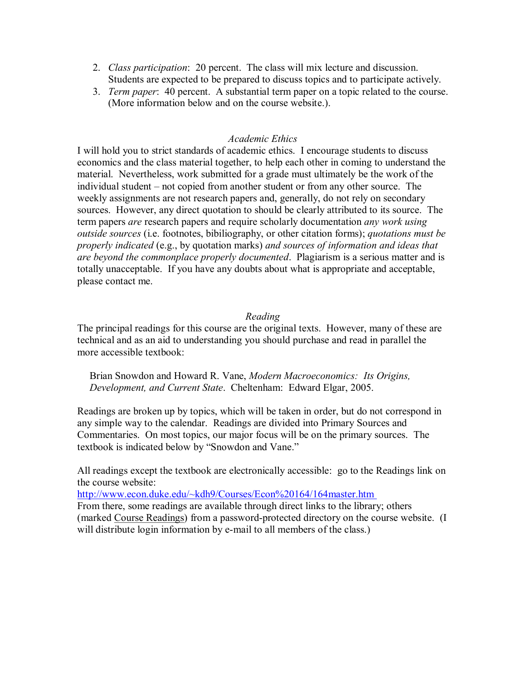- 2. *Class participation*: 20 percent. The class will mix lecture and discussion. Students are expected to be prepared to discuss topics and to participate actively.
- 3. *Term paper*: 40 percent. A substantial term paper on a topic related to the course. (More information below and on the course website.).

# *Academic Ethics*

I will hold you to strict standards of academic ethics. I encourage students to discuss economics and the class material together, to help each other in coming to understand the material. Nevertheless, work submitted for a grade must ultimately be the work of the individual student – not copied from another student or from any other source. The weekly assignments are not research papers and, generally, do not rely on secondary sources. However, any direct quotation to should be clearly attributed to its source. The term papers *are* research papers and require scholarly documentation *any work using outside sources* (i.e. footnotes, bibiliography, or other citation forms); *quotations must be properly indicated* (e.g., by quotation marks) *and sources of information and ideas that are beyond the commonplace properly documented*. Plagiarism is a serious matter and is totally unacceptable. If you have any doubts about what is appropriate and acceptable, please contact me.

# *Reading*

The principal readings for this course are the original texts. However, many of these are technical and as an aid to understanding you should purchase and read in parallel the more accessible textbook:

Brian Snowdon and Howard R. Vane, *Modern Macroeconomics: Its Origins, Development, and Current State*. Cheltenham: Edward Elgar, 2005.

Readings are broken up by topics, which will be taken in order, but do not correspond in any simple way to the calendar. Readings are divided into Primary Sources and Commentaries. On most topics, our major focus will be on the primary sources. The textbook is indicated below by "Snowdon and Vane."

All readings except the textbook are electronically accessible: go to the Readings link on the course website:

<http://www.econ.duke.edu/~kdh9/Courses/Econ%20164/164master.htm> From there, some readings are available through direct links to the library; others (marked Course Readings) from a password-protected directory on the course website. (I will distribute login information by e-mail to all members of the class.)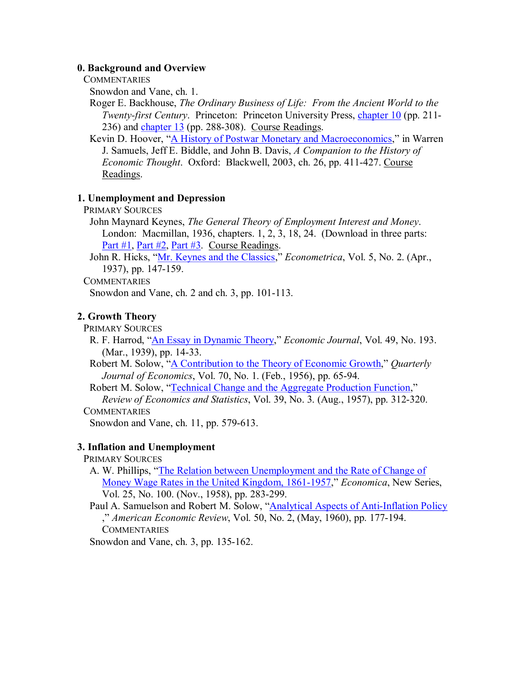### **0. Background and Overview**

**COMMENTARIES** 

Snowdon and Vane, ch. 1.

Roger E. Backhouse, *The Ordinary Business of Life: From the Ancient World to the Twenty-first Century.* Princeton: Princeton University Press, [chapter 10](http://econ.duke.edu/~kdh9/Courses/Econ%20164/Readings/Backhouse%20Ch.%2010.pdf) (pp. 211- $236$ ) and [chapter 13](http://econ.duke.edu/~kdh9/Courses/Econ%20164/Readings/Backhouse%20Ch.%2013.pdf) (pp. 288-308). Course Readings.

Kevin D. Hoover, "A History of Postwar Monetary [and Macroeconomics](http://econ.duke.edu/~kdh9/Courses/Econ%20164/Readings/Hoover%20Postwar%20Macro%20History.pdf)," in Warren J. Samuels, Jeff E. Biddle, and John B. Davis, *A Companion to the History of Economic Thought.* Oxford: Blackwell, 2003, ch. 26, pp. 411-427. Course Readings.

## **1. Unemployment and Depression**

PRIMARY SOURCES

John Maynard Keynes, *The General Theory of Employment Interest and Money*. London: Macmillan, 1936, chapters. 1, 2, 3, 18, 24. (Download in three parts: [Part #1](http://econ.duke.edu/~kdh9/Courses/Econ%20164/Readings/Keynes%20%231.pdf), [Part #2](http://econ.duke.edu/~kdh9/Courses/Econ%20164/Readings/Keynes%20%232.pdf), [Part #3.](http://econ.duke.edu/~kdh9/Courses/Econ%20164/Readings/Keynes%20%233.pdf) Course Readings.

John R. Hicks, "Mr. Keynes [and the Classics](http://www.jstor.org/stable/1907242)," *Econometrica*, Vol. 5, No. 2. (Apr., 1937), pp. 147-159.

**COMMENTARIES** 

Snowdon and Vane, ch.  $2$  and ch.  $3$ , pp. 101-113.

# **2. Growth Theory**

PRIMARY SOURCES

R. F. Harrod, "An Essay in [Dynamic Theory,](http://www.jstor.org/stable/2225181)" *Economic Journal*, Vol. 49, No. 193. (Mar., 1939), pp. 14-33.

Robert M. Solow, "A Contribution to the Theory of [Economic Growth,](http://www.jstor.org/stable/1884513)" *Quarterly Journal of Economics*, Vol. 70, No. 1. (Feb., 1956), pp. 65-94.

Robert M. Solow, "Technical [Change and the Aggregate Production](http://www.jstor.org/stable/1926047) Function," *Review of Economics and Statistics*, Vol. 39, No. 3. (Aug., 1957), pp. 312320.

**COMMENTARIES** 

Snowdon and Vane, ch.  $11$ , pp.  $579-613$ .

## **3. Inflation and Unemployment**

PRIMARY SOURCES

A. W. Phillips, "The Relation between Unemployment and the Rate of Change of Money Wage Rates in [the United Kingdom,](http://www.jstor.org/stable/2550759) 1861-1957," *Economica*, New Series, Vol. 25, No. 100. (Nov., 1958), pp. 283-299.

Paul A. Samuelson and Robert M. Solow, "Analytical Aspects of Anti-Inflation Policy ," *American Economic Review*, Vol. 50, No. 2, (May, 1960), pp. 177194. **COMMENTARIES** 

Snowdon and Vane, ch. 3, pp. 135-162.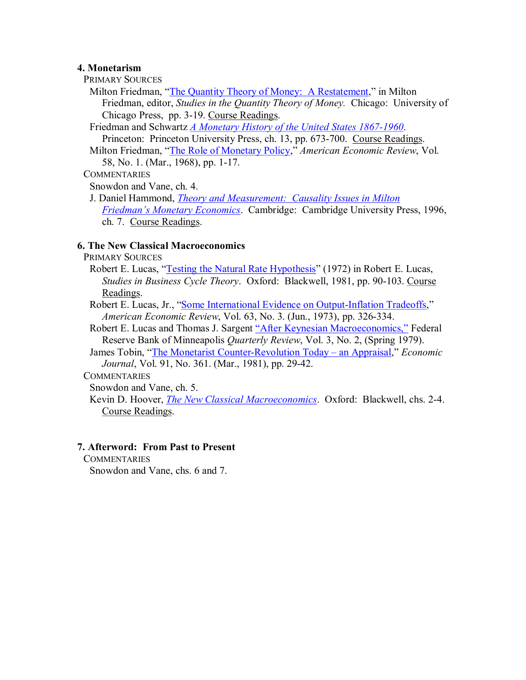#### **4. Monetarism**

- PRIMARY SOURCES
- Milton Friedman, ["The Quantity](http://econ.duke.edu/~kdh9/Courses/Econ%20164/Readings/Friedman%20Q-theory.pdf) Theory of Money: A Restatement," in Milton Friedman, editor, *Studies in the Quantity Theory of Money.* Chicago: University of Chicago Press, pp. 3-19. Course Readings.
- Friedman and Schwartz *A [Monetary History of](http://econ.duke.edu/~kdh9/Courses/Econ%20164/Readings/Friedman%20Monetary%20History.pdf) the United States 1867-1960*. Princeton: Princeton University Press, ch. 13, pp. 673-700. Course Readings.
- Milton Friedman, ["The Role of](http://www.jstor.org/stable/1831652) Monetary Policy," *American Economic Review*, Vol. 58, No. 1. (Mar., 1968), pp. 1-17.

## **COMMENTARIES**

Snowdon and Vane, ch. 4.

J. Daniel Hammond, *[Theory and Measurement:](http://econ.duke.edu/~kdh9/Courses/Econ%20164/Readings/Hammond.pdf)  Causality Issues in Milton Friedman's Monetary Economics*. Cambridge: Cambridge University Press, 1996, ch. 7. Course Readings.

# **6. The New Classical Macroeconomics**

- PRIMARY SOURCES
	- Robert E. Lucas, ["Testing the Natural](http://econ.duke.edu/~kdh9/Courses/Econ%20164/Readings/Lucas%20Econometric%20Testing.pdf) Rate Hypothesis" (1972) in Robert E. Lucas, *Studies in Business Cycle Theory.* Oxford: Blackwell, 1981, pp. 90-103. Course Readings.
	- Robert E. Lucas, Jr., ["Some International](http://www.jstor.org/stable/1914364) Evidence on Output-Inflation Tradeoffs," *American Economic Review, Vol. 63, No. 3. (Jun., 1973), pp. 326-334.*
	- Robert E. Lucas and Thomas J. Sargent "After Keynesian [Macroeconomics,"](http://www.minneapolisfed.org/research/common/pub_detail.cfm?pb_autonum_id=129) Federal Reserve Bank of Minneapolis *Quarterly Review*, Vol. 3, No. 2, (Spring 1979).
	- James Tobin, "The Monetarist Counter-Revolution Today an Appraisal," *Economic Journal*, Vol. 91, No. 361. (Mar., 1981), pp. 29-42.

## **COMMENTARIES**

Snowdon and Vane, ch. 5.

Kevin D. Hoover, *The New [Classical Macroeconomics](http://econ.duke.edu/~kdh9/Courses/Econ%20164/Readings/Hoover%20New%20Classical.pdf)*. Oxford: Blackwell, chs. 24. Course Readings.

## **7. Afterword: From Past to Present**

**COMMENTARIES** 

Snowdon and Vane, chs. 6 and 7.